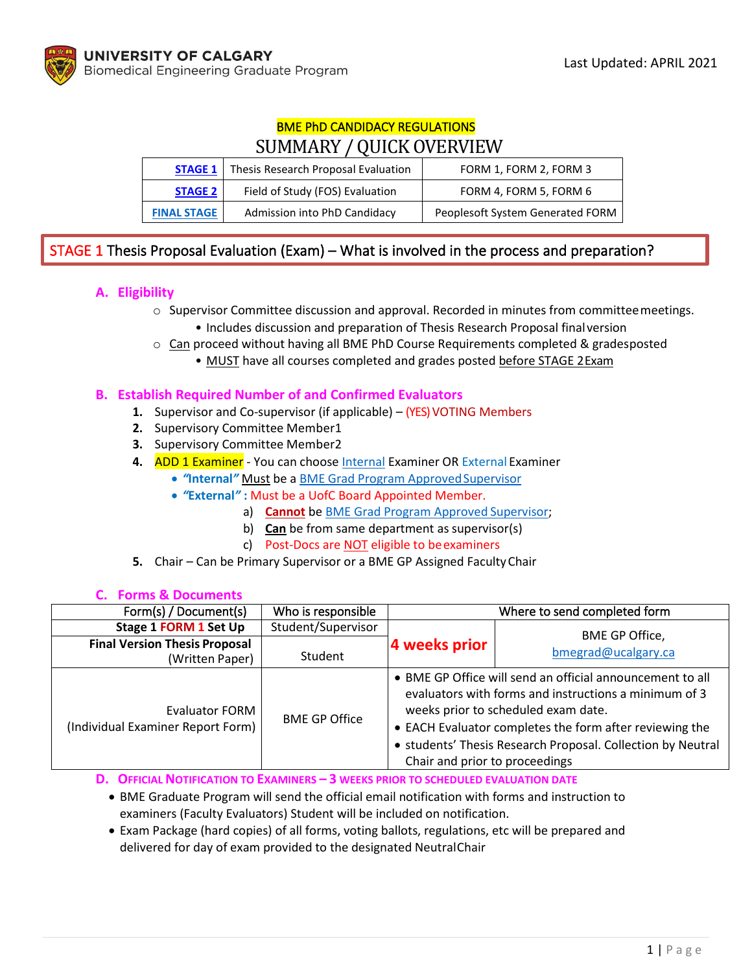# BME PhD CANDIDACY REGULATIONS SUMMARY / QUICK OVERVIEW

| <b>STAGE 1</b>     | Thesis Research Proposal Evaluation | FORM 1, FORM 2, FORM 3           |  |
|--------------------|-------------------------------------|----------------------------------|--|
| <b>STAGE 2</b>     | Field of Study (FOS) Evaluation     | FORM 4, FORM 5, FORM 6           |  |
| <b>FINAL STAGE</b> | Admission into PhD Candidacy        | Peoplesoft System Generated FORM |  |

# STAGE 1 Thesis Proposal Evaluation (Exam) – What is involved in the process and preparation?

## **A. Eligibility**

- o Supervisor Committee discussion and approval. Recorded in minutes from committeemeetings.
	- Includes discussion and preparation of Thesis Research Proposal finalversion
- $\circ$  Can proceed without having all BME PhD Course Requirements completed & gradesposted
	- MUST have all courses completed and grades posted before STAGE 2Exam

### **B. Establish Required Number of and Confirmed Evaluators**

- **1.** Supervisor and Co-supervisor (if applicable) (YES) VOTING Members
- **2.** Supervisory Committee Member1
- **3.** Supervisory Committee Member2
- **4.** ADD 1 Examiner You can choose [Internal](https://www.ucalgary.ca/bme/graduate/prospective-students/supervisors) Examiner OR External Examiner
	- *"***Internal***"* Must be a [BME Grad Program ApprovedSupervisor](https://www.ucalgary.ca/bme/graduate/prospective-students/supervisors)
	- *"***External***"* **:** Must be a UofC Board Appointed Member.
		- a) **Cannot** be [BME Grad Program Approved](https://www.ucalgary.ca/bme/graduate/prospective-students/supervisors) Supervisor;
		- b) **Can** be from same department as supervisor(s)
		- c) Post-Docs are **NOT** eligible to be examiners
- **5.** Chair Can be Primary Supervisor or a BME GP Assigned FacultyChair

| Form(s) / Document(s)                                      | Who is responsible   | Where to send completed form                                                                                                                                                                                                                                                                                          |                                       |
|------------------------------------------------------------|----------------------|-----------------------------------------------------------------------------------------------------------------------------------------------------------------------------------------------------------------------------------------------------------------------------------------------------------------------|---------------------------------------|
| Stage 1 FORM 1 Set Up                                      | Student/Supervisor   |                                                                                                                                                                                                                                                                                                                       | BME GP Office,<br>bmegrad@ucalgary.ca |
| <b>Final Version Thesis Proposal</b><br>(Written Paper)    | Student              | 4 weeks prior                                                                                                                                                                                                                                                                                                         |                                       |
| <b>Evaluator FORM</b><br>(Individual Examiner Report Form) | <b>BME GP Office</b> | • BME GP Office will send an official announcement to all<br>evaluators with forms and instructions a minimum of 3<br>weeks prior to scheduled exam date.<br>• EACH Evaluator completes the form after reviewing the<br>• students' Thesis Research Proposal. Collection by Neutral<br>Chair and prior to proceedings |                                       |

#### **C. Forms & Documents**

**D. OFFICIAL NOTIFICATION TO EXAMINERS – 3 WEEKS PRIOR TO SCHEDULED EVALUATION DATE**

- BME Graduate Program will send the official email notification with forms and instruction to examiners (Faculty Evaluators) Student will be included on notification.
- Exam Package (hard copies) of all forms, voting ballots, regulations, etc will be prepared and delivered for day of exam provided to the designated NeutralChair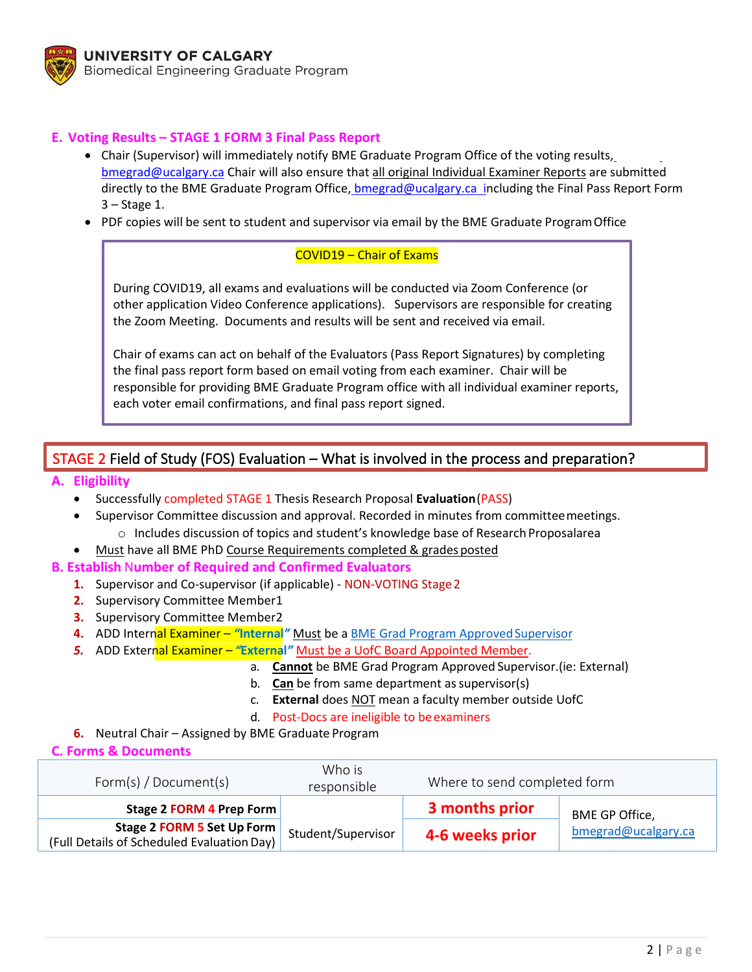

### **E. Voting Results – STAGE 1 FORM 3 Final Pass Report**

- Chair (Supervisor) will immediately notify BME Graduate Program Office of the voting resu[lts,](mailto:bmegrad@ucalgary.ca) [bmegrad@ucalgary.ca](mailto:bmegrad@ucalgary.ca) Chair will also ensure that all original Individual Examiner Reports are submitted directly to the BME Graduate Program Office, [bmegrad@ucalgary.ca](mailto:%20bmegrad@ucalgary.ca%20%20i) including the Final Pass Report Form 3 – Stage 1.
- PDF copies will be sent to student and supervisor via email by the BME Graduate ProgramOffice

#### COVID19 – Chair of Exams

During COVID19, all exams and evaluations will be conducted via Zoom Conference (or other application Video Conference applications). Supervisors are responsible for creating the Zoom Meeting. Documents and results will be sent and received via email.

Chair of exams can act on behalf of the Evaluators (Pass Report Signatures) by completing the final pass report form based on email voting from each examiner. Chair will be responsible for providing BME Graduate Program office with all individual examiner reports, each voter email confirmations, and final pass report signed.

# STAGE 2 Field of Study (FOS) Evaluation – What is involved in the process and preparation?

#### **A. Eligibility**

- Successfully completed STAGE 1 Thesis Research Proposal **Evaluation**(PASS)
- Supervisor Committee discussion and approval. Recorded in minutes from committeemeetings. o Includes discussion of topics and student's knowledge base of Research Proposalarea
- Must have all BME PhD Course Requirements completed & grades posted

#### **B. Establish** N**umber of Required and Confirmed Evaluators**

- **1.** Supervisor and Co-supervisor (if applicable) NON-VOTING Stage2
- **2.** Supervisory Committee Member1
- **3.** Supervisory Committee Member2
- **4.** ADD Internal Examiner "Internal" Must be a BME Grad Program Approved Supervisor
- *5.* ADD External Examiner *"***External***"* Must be a UofC Board Appointed Member.
	- a. **Cannot** be BME Grad Program Approved Supervisor.(ie: External)
	- b. **Can** be from same department as supervisor(s)
	- c. **External** does NOT mean a faculty member outside UofC
	- d. Post-Docs are ineligible to beexaminers
- **6.** Neutral Chair Assigned by BME Graduate Program

**C. Forms & Documents**

| Form(s) / Document(s)                                                    | Who is<br>responsible |                 | Where to send completed form |  |
|--------------------------------------------------------------------------|-----------------------|-----------------|------------------------------|--|
| Stage 2 FORM 4 Prep Form                                                 | Student/Supervisor    | 3 months prior  | BME GP Office,               |  |
| Stage 2 FORM 5 Set Up Form<br>(Full Details of Scheduled Evaluation Day) |                       | 4-6 weeks prior | bmegrad@ucalgary.ca          |  |